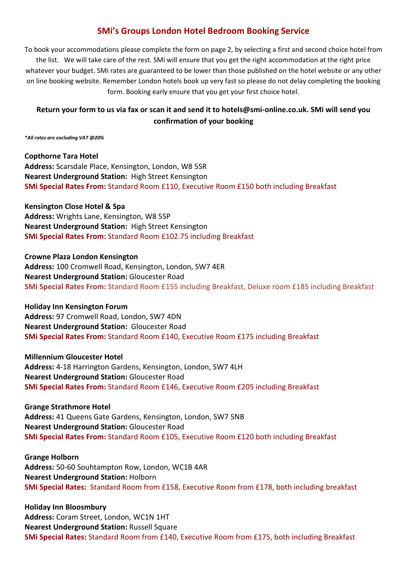## **SMi's Groups London Hotel Bedroom Booking Service**

To book your accommodations please complete the form on page 2, by selecting a first and second choice hotel from the list. We will take care of the rest. SMi will ensure that you get the right accommodation at the right price whatever your budget. SMi rates are guaranteed to be lower than those published on the hotel website or any other on line booking website. Remember London hotels book up very fast so please do not delay completing the booking form. Booking early ensure that you get your first choice hotel.

## **Return your form to us via fax or scan it and send it to hotels@smi-online.co.uk. SMi will send you confirmation of your booking**

*\*All rates are excluding VAT @20%* 

**Copthorne Tara Hotel Address:** Scarsdale Place, Kensington, London, W8 5SR **Nearest Underground Station:** High Street Kensington **SMi Special Rates From:** Standard Room £110, Executive Room £150 both including Breakfast

**Kensington Close Hotel & Spa Address:** Wrights Lane, Kensington, W8 5SP **Nearest Underground Station:** High Street Kensington **SMi Special Rates From:** Standard Room £102.75 including Breakfast

**Crowne Plaza London Kensington Address:** 100 Cromwell Road, Kensington, London, SW7 4ER **Nearest Underground Station:** Gloucester Road **SMi Special Rates From:** Standard Room £155 including Breakfast, Deluxe room £185 including Breakfast

**Holiday Inn Kensington Forum Address:** 97 Cromwell Road, London, SW7 4DN **Nearest Underground Station:** Gloucester Road **SMi Special Rates From:** Standard Room £140, Executive Room £175 including Breakfast

**Millennium Gloucester Hotel Address:** 4-18 Harrington Gardens, Kensington, London, SW7 4LH **Nearest Underground Station:** Gloucester Road **SMi Special Rates From:** Standard Room £146, Executive Room £205 including Breakfast

**Grange Strathmore Hotel Address:** 41 Queens Gate Gardens, Kensington, London, SW7 5NB **Nearest Underground Station:** Gloucester Road **SMi Special Rates From:** Standard Room £105, Executive Room £120 both including Breakfast

**Grange Holborn Address:** 50-60 Souhtampton Row, London, WC1B 4AR **Nearest Underground Station:** Holborn **SMi Special Rates:** Standard Room from £158, Executive Room from £178, both including breakfast

**Holiday Inn Bloosmbury Address:** Coram Street, London, WC1N 1HT **Nearest Underground Station:** Russell Square **SMi Special Rates:** Standard Room from £140, Executive Room from £175, both including Breakfast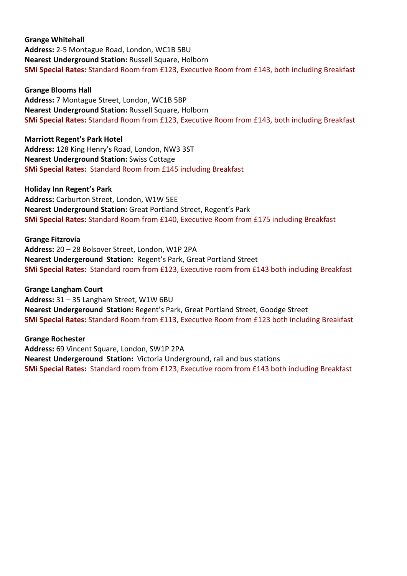**Grange Whitehall Address:** 2-5 Montague Road, London, WC1B 5BU **Nearest Underground Station:** Russell Square, Holborn **SMi Special Rates:** Standard Room from £123, Executive Room from £143, both including Breakfast

**Grange Blooms Hall Address:** 7 Montague Street, London, WC1B 5BP **Nearest Underground Station:** Russell Square, Holborn **SMi Special Rates:** Standard Room from £123, Executive Room from £143, both including Breakfast

**Marriott Regent's Park Hotel Address:** 128 King Henry's Road, London, NW3 3ST **Nearest Underground Station:** Swiss Cottage **SMi Special Rates:** Standard Room from £145 including Breakfast

**Holiday Inn Regent's Park Address:** Carburton Street, London, W1W 5EE **Nearest Underground Station:** Great Portland Street, Regent's Park **SMi Special Rates:** Standard Room from £140, Executive Room from £175 including Breakfast

**Grange Fitzrovia Address:** 20 – 28 Bolsover Street, London, W1P 2PA **Nearest Undergeround Station:** Regent's Park, Great Portland Street **SMi Special Rates:** Standard room from £123, Executive room from £143 both including Breakfast

**Grange Langham Court Address:** 31 – 35 Langham Street, W1W 6BU **Nearest Undergeround Station:** Regent's Park, Great Portland Street, Goodge Street **SMi Special Rates:** Standard Room from £113, Executive Room from £123 both including Breakfast

**Grange Rochester Address:** 69 Vincent Square, London, SW1P 2PA **Nearest Undergeround Station:** Victoria Underground, rail and bus stations **SMi Special Rates:** Standard room from £123, Executive room from £143 both including Breakfast